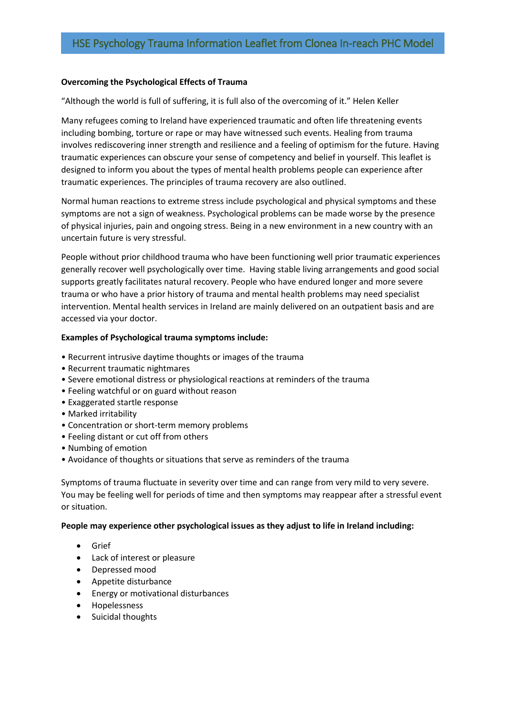# **Overcoming the Psychological Effects of Trauma**

"Although the world is full of suffering, it is full also of the overcoming of it." Helen Keller

Many refugees coming to Ireland have experienced traumatic and often life threatening events including bombing, torture or rape or may have witnessed such events. Healing from trauma involves rediscovering inner strength and resilience and a feeling of optimism for the future. Having traumatic experiences can obscure your sense of competency and belief in yourself. This leaflet is designed to inform you about the types of mental health problems people can experience after traumatic experiences. The principles of trauma recovery are also outlined.

Normal human reactions to extreme stress include psychological and physical symptoms and these symptoms are not a sign of weakness. Psychological problems can be made worse by the presence of physical injuries, pain and ongoing stress. Being in a new environment in a new country with an uncertain future is very stressful.

People without prior childhood trauma who have been functioning well prior traumatic experiences generally recover well psychologically over time. Having stable living arrangements and good social supports greatly facilitates natural recovery. People who have endured longer and more severe trauma or who have a prior history of trauma and mental health problems may need specialist intervention. Mental health services in Ireland are mainly delivered on an outpatient basis and are accessed via your doctor.

# **Examples of Psychological trauma symptoms include:**

- Recurrent intrusive daytime thoughts or images of the trauma
- Recurrent traumatic nightmares
- Severe emotional distress or physiological reactions at reminders of the trauma
- Feeling watchful or on guard without reason
- Exaggerated startle response
- Marked irritability
- Concentration or short-term memory problems
- Feeling distant or cut off from others
- Numbing of emotion
- Avoidance of thoughts or situations that serve as reminders of the trauma

Symptoms of trauma fluctuate in severity over time and can range from very mild to very severe. You may be feeling well for periods of time and then symptoms may reappear after a stressful event or situation.

### **People may experience other psychological issues as they adjust to life in Ireland including:**

- Grief
- Lack of interest or pleasure
- Depressed mood
- Appetite disturbance
- Energy or motivational disturbances
- **•** Hopelessness
- Suicidal thoughts